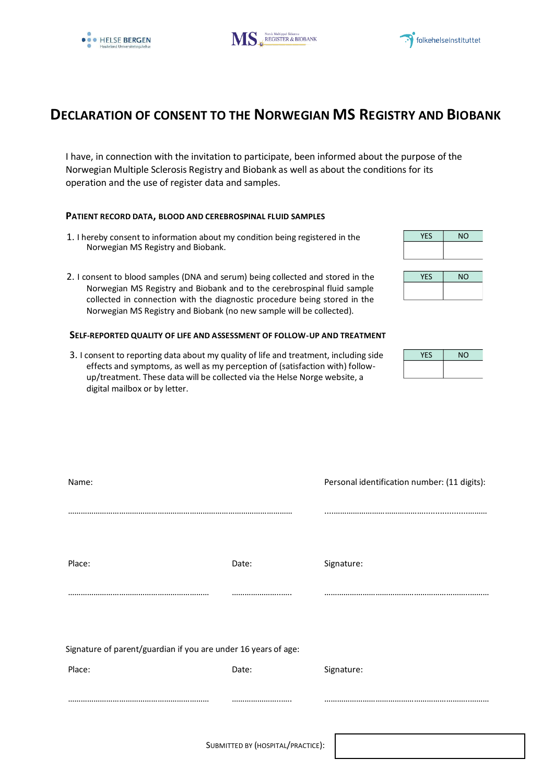





## **DECLARATION OF CONSENT TO THE NORWEGIAN MS REGISTRY AND BIOBANK**

I have, in connection with the invitation to participate, been informed about the purpose of the Norwegian Multiple Sclerosis Registry and Biobank as well as about the conditions for its operation and the use of register data and samples.

### **PATIENT RECORD DATA, BLOOD AND CEREBROSPINAL FLUID SAMPLES**

- 1. I hereby consent to information about my condition being registered in the Norwegian MS Registry and Biobank.
- 2. I consent to blood samples (DNA and serum) being collected and stored in the Norwegian MS Registry and Biobank and to the cerebrospinal fluid sample collected in connection with the diagnostic procedure being stored in the Norwegian MS Registry and Biobank (no new sample will be collected).

#### **SELF-REPORTED QUALITY OF LIFE AND ASSESSMENT OF FOLLOW-UP AND TREATMENT**

3. I consent to reporting data about my quality of life and treatment, including side effects and symptoms, as well as my perception of (satisfaction with) followup/treatment. These data will be collected via the Helse Norge website, a digital mailbox or by letter.

| <b>YES</b> | <b>NO</b> |
|------------|-----------|
|            |           |
|            |           |
| <b>YES</b> | <b>NO</b> |

| <b>YFS</b> | <b>NO</b> |
|------------|-----------|
|            |           |
|            |           |
|            |           |

| <b>YES</b> | <b>NO</b> |
|------------|-----------|
|            |           |

| Name:                                                          |       | Personal identification number: (11 digits): |
|----------------------------------------------------------------|-------|----------------------------------------------|
|                                                                |       |                                              |
| Place:                                                         | Date: | Signature:                                   |
|                                                                |       |                                              |
|                                                                |       |                                              |
| Signature of parent/guardian if you are under 16 years of age: |       |                                              |
| Place:                                                         | Date: | Signature:                                   |
|                                                                |       |                                              |